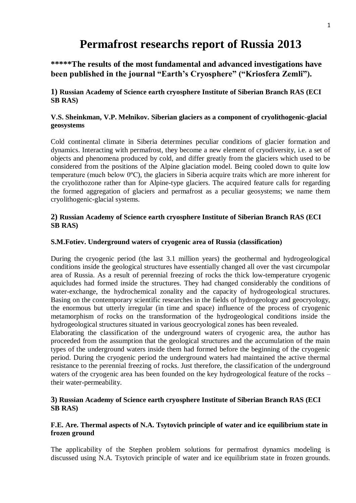# **Permafrost researchs report of Russia 2013**

**\*\*\*\*\*The results of the most fundamental and advanced investigations have been published in the journal "Earth's Cryosphere" ("Kriosfera Zemli").**

**1) Russian Academy of Science earth cryosphere Institute of Siberian Branch RAS (ECI SB RAS)**

### **V.S. Sheinkman, V.P. Melnikov. Siberian glaciers as a component of cryolithogenic-glacial geosystems**

Cold continental climate in Siberia determines peculiar conditions of glacier formation and dynamics. Interacting with permafrost, they become a new element of cryodiversity, i.e. a set of objects and phenomena produced by cold, and differ greatly from the glaciers which used to be considered from the positions of the Alpine glaciation model. Being cooled down to quite low temperature (much below 0ºС), the glaciers in Siberia acquire traits which are more inherent for the cryolithozone rather than for Alpine-type glaciers. The acquired feature calls for regarding the formed aggregation of glaciers and permafrost as a peculiar geosystems; we name them cryolithogenic-glacial systems.

### **2) Russian Academy of Science earth cryosphere Institute of Siberian Branch RAS (ECI SB RAS)**

#### **S.M.Fotiev. Underground waters of cryogenic area of Russia (classification)**

During the cryogenic period (the last 3.1 million years) the geothermal and hydrogeological conditions inside the geological structures have essentially changed all over the vast circumpolar area of Russia. As a result of perennial freezing of rocks the thick low-temperature cryogenic aquicludes had formed inside the structures. They had changed considerably the conditions of water-exchange, the hydrochemical zonality and the capacity of hydrogeological structures. Basing on the contemporary scientific researches in the fields of hydrogeology and geocryology, the enormous but utterly irregular (in time and space) influence of the process of cryogenic metamorphism of rocks on the transformation of the hydrogeological conditions inside the hydrogeological structures situated in various geocryological zones has been revealed.

Elaborating the classification of the underground waters of cryogenic area, the author has proceeded from the assumption that the geological structures and the accumulation of the main types of the underground waters inside them had formed before the beginning of the cryogenic period. During the cryogenic period the underground waters had maintained the active thermal resistance to the perennial freezing of rocks. Just therefore, the classification of the underground waters of the cryogenic area has been founded on the key hydrogeological feature of the rocks – their water-permeability.

### **3) Russian Academy of Science earth cryosphere Institute of Siberian Branch RAS (ECI SB RAS)**

### **F.E. Are. Thermal aspects of N.A. Tsytovich principle of water and ice equilibrium state in frozen ground**

The applicability of the Stephen problem solutions for permafrost dynamics modeling is discussed using N.A. Tsytovich principle of water and ice equilibrium state in frozen grounds.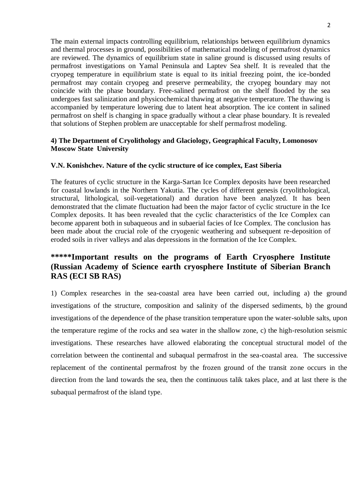The main external impacts controlling equilibrium, relationships between equilibrium dynamics and thermal processes in ground, possibilities of mathematical modeling of permafrost dynamics are reviewed. The dynamics of equilibrium state in saline ground is discussed using results of permafrost investigations on Yamal Peninsula and Laptev Sea shelf. It is revealed that the cryopeg temperature in equilibrium state is equal to its initial freezing point, the ice-bonded permafrost may contain cryopeg and preserve permeability, the cryopeg boundary may not coincide with the phase boundary. Free-salined permafrost on the shelf flooded by the sea undergoes fast salinization and physicochemical thawing at negative temperature. The thawing is accompanied by temperature lowering due to latent heat absorption. The ice content in salined permafrost on shelf is changing in space gradually without a clear phase boundary. It is revealed that solutions of Stephen problem are unacceptable for shelf permafrost modeling.

#### **4) The Department of Cryolithology and Glaciology, Geographical Faculty, Lomonosov Moscow State University**

#### **V.N. Konishchev. Nature of the cyclic structure of ice complex, East Siberia**

The features of cyclic structure in the Karga-Sartan Ice Complex deposits have been researched for coastal lowlands in the Northern Yakutia. The cycles of different genesis (cryolithological, structural, lithological, soil-vegetational) and duration have been analyzed. It has been demonstrated that the climate fluctuation had been the major factor of cyclic structure in the Ice Complex deposits. It has been revealed that the cyclic characteristics of the Ice Complex can become apparent both in subaqueous and in subaerial facies of Ice Complex. The conclusion has been made about the crucial role of the cryogenic weathering and subsequent re-deposition of eroded soils in river valleys and alas depressions in the formation of the Ice Complex.

## **\*\*\*\*\*Important results on the programs of Earth Cryosphere Institute (Russian Academy of Science earth cryosphere Institute of Siberian Branch RAS (ECI SB RAS)**

1) Complex researches in the sea-coastal area have been carried out, including a) the ground investigations of the structure, composition and salinity of the dispersed sediments, b) the ground investigations of the dependence of the phase transition temperature upon the water-soluble salts, upon the temperature regime of the rocks and sea water in the shallow zone, c) the high-resolution seismic investigations. These researches have allowed elaborating the conceptual structural model of the correlation between the continental and subaqual permafrost in the sea-coastal area. The successive replacement of the continental permafrost by the frozen ground of the transit zone occurs in the direction from the land towards the sea, then the continuous talik takes place, and at last there is the subaqual permafrost of the island type.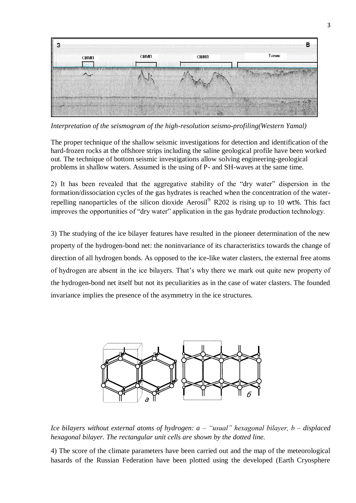

*Interpretation of the seismogram of the high-resolution seismo-profiling(Western Yamal)*

The proper technique of the shallow seismic investigations for detection and identification of the hard-frozen rocks at the offshore strips including the saline geological profile have been worked out. The technique of bottom seismic investigations allow solving engineering-geological problems in shallow waters. Assumed is the using of P- and SH-waves at the same time.

2) It has been revealed that the aggregative stability of the "dry water" dispersion in the formation/dissociation cycles of the gas hydrates is reached when the concentration of the waterrepelling nanoparticles of the silicon dioxide Aerosil<sup>®</sup> R202 is rising up to 10 wt%. This fact improves the opportunities of "dry water" application in the gas hydrate production technology.

3) The studying of the ice bilayer features have resulted in the pioneer determination of the new property of the hydrogen-bond net: the noninvariance of its characteristics towards the change of direction of all hydrogen bonds. As opposed to the ice-like water clasters, the external free atoms of hydrogen are absent in the ice bilayers. That"s why there we mark out quite new property of the hydrogen-bond net itself but not its peculiarities as in the case of water clasters. The founded invariance implies the presence of the asymmetry in the ice structures.



*Ice bilayers without external atoms of hydrogen: a – "usual" hexagonal bilayer, b – displaced hexagonal bilayer. The rectangular unit cells are shown by the dotted line.* 

4) The score of the climate parameters have been carried out and the map of the meteorological hasards of the Russian Federation have been plotted using the developed (Earth Cryosphere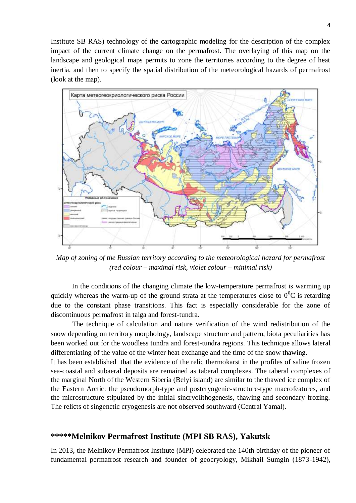Institute SB RAS) technology of the cartographic modeling for the description of the complex impact of the current climate change on the permafrost. The overlaying of this map on the landscape and geological maps permits to zone the territories according to the degree of heat inertia, and then to specify the spatial distribution of the meteorological hazards of permafrost (look at the map).



*Map of zoning of the Russian territory according to the meteorological hazard for permafrost (red colour – maximal risk, violet colour – minimal risk)*

In the conditions of the changing climate the low-temperature permafrost is warming up quickly whereas the warm-up of the ground strata at the temperatures close to  $0^0C$  is retarding due to the constant phase transitions. This fact is especially considerable for the zone of discontinuous permafrost in taiga and forest-tundra.

The technique of calculation and nature verification of the wind redistribution of the snow depending on territory morphology, landscape structure and pattern, biota peculiarities has been worked out for the woodless tundra and forest-tundra regions. This technique allows lateral differentiating of the value of the winter heat exchange and the time of the snow thawing.

It has been established that the evidence of the relic thermokarst in the profiles of saline frozen sea-coastal and subaeral deposits are remained as taberal complexes. The taberal complexes of the marginal North of the Western Siberia (Belyi island) are similar to the thawed ice complex of the Eastern Arctic: the pseudomorph-type and postcryogenic-structure-type macrofeatures, and the microstructure stipulated by the initial sincryolithogenesis, thawing and secondary frozing. The relicts of singenetic cryogenesis are not observed southward (Central Yamal).

### **\*\*\*\*\*Melnikov Permafrost Institute (MPI SB RAS), Yakutsk**

In 2013, the Melnikov Permafrost Institute (MPI) celebrated the 140th birthday of the pioneer of fundamental permafrost research and founder of geocryology, Mikhail Sumgin (1873-1942),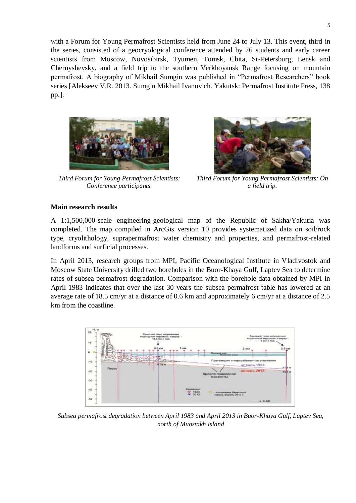with a Forum for Young Permafrost Scientists held from June 24 to July 13. This event, third in the series, consisted of a geocryological conference attended by 76 students and early career scientists from Moscow, Novosibirsk, Tyumen, Tomsk, Chita, St-Petersburg, Lensk and Chernyshevsky, and a field trip to the southern Verkhoyansk Range focusing on mountain permafrost. A biography of Mikhail Sumgin was published in "Permafrost Researchers" book series [Alekseev V.R. 2013. Sumgin Mikhail Ivanovich. Yakutsk: Permafrost Institute Press, 138 pp.].



*Third Forum for Young Permafrost Scientists: Conference participants.*



*Third Forum for Young Permafrost Scientists: On a field trip.*

### **Main research results**

A 1:1,500,000-scale engineering-geological map of the Republic of Sakha/Yakutia was completed. The map compiled in ArcGis version 10 provides systematized data on soil/rock type, cryolithology, suprapermafrost water chemistry and properties, and permafrost-related landforms and surficial processes.

In April 2013, research groups from MPI, Pacific Oceanological Institute in Vladivostok and Moscow State University drilled two boreholes in the Buor-Khaya Gulf, Laptev Sea to determine rates of subsea permafrost degradation. Comparison with the borehole data obtained by MPI in April 1983 indicates that over the last 30 years the subsea permafrost table has lowered at an average rate of 18.5 cm/yr at a distance of 0.6 km and approximately 6 cm/yr at a distance of 2.5 km from the coastline.



*Subsea permafrost degradation between April 1983 and April 2013 in Buor-Khaya Gulf, Laptev Sea, north of Muostakh Island*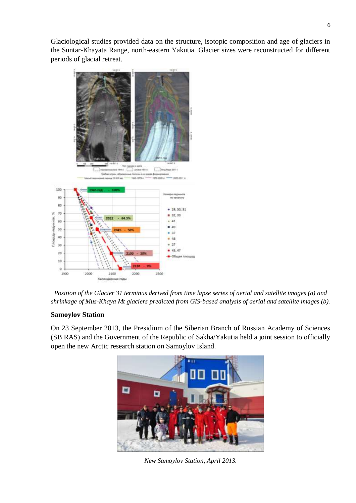Glaciological studies provided data on the structure, isotopic composition and age of glaciers in the Suntar-Khayata Range, north-eastern Yakutia. Glacier sizes were reconstructed for different periods of glacial retreat.





### **Samoylov Station**

On 23 September 2013, the Presidium of the Siberian Branch of Russian Academy of Sciences (SB RAS) and the Government of the Republic of Sakha/Yakutia held a joint session to officially open the new Arctic research station on Samoylov Island.



*New Samoylov Station, April 2013.*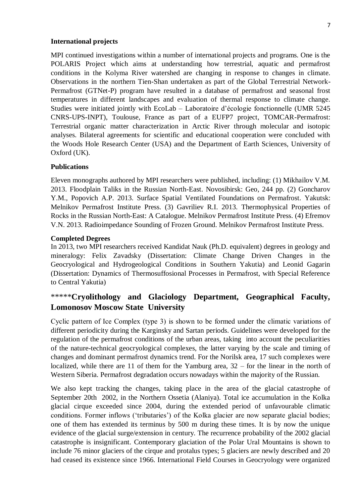#### **International projects**

MPI continued investigations within a number of international projects and programs. One is the POLARIS Project which aims at understanding how terrestrial, aquatic and permafrost conditions in the Kolyma River watershed are changing in response to changes in climate. Observations in the northern Tien-Shan undertaken as part of the Global Terrestrial Network-Permafrost (GTNet-P) program have resulted in a database of permafrost and seasonal frost temperatures in different landscapes and evaluation of thermal response to climate change. Studies were initiated jointly with EcoLab – Laboratoire d"écologie fonctionnelle (UMR 5245 CNRS-UPS-INPT), Toulouse, France as part of a EUFP7 project, TOMCAR-Permafrost: Terrestrial organic matter characterization in Arctic River through molecular and isotopic analyses. Bilateral agreements for scientific and educational cooperation were concluded with the Woods Hole Research Center (USA) and the Department of Earth Sciences, University of Oxford (UK).

#### **Publications**

Eleven monographs authored by MPI researchers were published, including: (1) Mikhailov V.M. 2013. Floodplain Taliks in the Russian North-East. Novosibirsk: Geo, 244 pp. (2) Goncharov Y.M., Popovich A.P. 2013. Surface Spatial Ventilated Foundations on Permafrost. Yakutsk: Melnikov Permafrost Institute Press. (3) Gavriliev R.I. 2013. Thermophysical Properties of Rocks in the Russian North-East: A Catalogue. Melnikov Permafrost Institute Press. (4) Efremov V.N. 2013. Radioimpedance Sounding of Frozen Ground. Melnikov Permafrost Institute Press.

#### **Completed Degrees**

In 2013, two MPI researchers received Kandidat Nauk (Ph.D. equivalent) degrees in geology and mineralogy: Felix Zavadsky (Dissertation: Climate Change Driven Changes in the Geocryological and Hydrogeological Conditions in Southern Yakutia) and Leonid Gagarin (Dissertation: Dynamics of Thermosuffosional Processes in Permafrost, with Special Reference to Central Yakutia)

### \*\*\*\*\***Cryolithology and Glaciology Department, Geographical Faculty, Lomonosov Moscow State University**

Сyclic pattern of Ice Complex (type 3) is shown to be formed under the climatic variations of different periodicity during the Karginsky and Sartan periods. Guidelines were developed for the regulation of the permafrost conditions of the urban areas, taking into account the peculiarities of the nature-technical geocryological complexes, the latter varying by the scale and timing of changes and dominant permafrost dynamics trend. For the Norilsk area, 17 such complexes were localized, while there are 11 of them for the Yamburg area, 32 – for the linear in the north of Western Siberia. Permafrost degradation occurs nowadays within the majority of the Russian.

We also kept tracking the changes, taking place in the area of the glacial catastrophe of September 20th 2002, in the Northern Ossetia (Alaniya). Total ice accumulation in the Kolka glacial cirque exceeded since 2004, during the extended period of unfavourable climatic conditions. Former inflows ("tributaries") of the Kolka glacier are now separate glacial bodies; one of them has extended its terminus by 500 m during these times. It is by now the unique evidence of the glacial surge/extension in century. The recurrence probability of the 2002 glacial catastrophe is insignificant. Contemporary glaciation of the Polar Ural Mountains is shown to include 76 minor glaciers of the cirque and protalus types; 5 glaciers are newly described and 20 had ceased its existence since 1966. International Field Courses in Geocryology were organized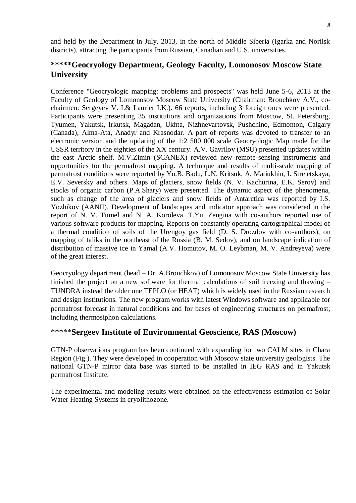and held by the Department in July, 2013, in the north of Middle Siberia (Igarka and Norilsk districts), attracting the participants from Russian, Canadian and U.S. universities.

# **\*\*\*\*\*Geocryology Department, Geology Faculty, Lomonosov Moscow State University**

Conference "Geocryologic mapping: problems and prospects" was held June 5-6, 2013 at the Faculty of Geology of Lomonosov Moscow State University (Chairman: Brouchkov A.V., cochairmen: Sergeyev V. I.& Laurier I.K.). 66 reports, including 3 foreign ones were presented. Participants were presenting 35 institutions and organizations from Moscow, St. Petersburg, Tyumen, Yakutsk, Irkutsk, Magadan, Ukhta, Nizhnevartovsk, Pushchino, Edmonton, Calgary (Canada), Alma-Ata, Anadyr and Krasnodar. A part of reports was devoted to transfer to an electronic version and the updating of the 1:2 500 000 scale Geocryologic Map made for the USSR territory in the eighties of the XX century. A.V. Gavrilov (MSU) presented updates within the east Arctic shelf. M.V.Zimin (SCANEX) reviewed new remote-sensing instruments and opportunities for the permafrost mapping. A technique and results of multi-scale mapping of permafrost conditions were reported by Yu.B. Badu, L.N. Kritsuk, A. Matiukhin, I. Streletskaya, E.V. Seversky and others. Maps of glaciers, snow fields (N. V. Kachurina, E.K. Serov) and stocks of organic carbon (P.A.Shary) were presented. The dynamic aspect of the phenomena, such as change of the area of glaciers and snow fields of Antarctica was reported by I.S. Yozhikov (AANII). Development of landscapes and indicator approach was considered in the report of N. V. Tumel and N. A. Koroleva. T.Yu. Zengina with co-authors reported use of various software products for mapping. Reports on constantly operating cartographical model of a thermal condition of soils of the Urengoy gas field (D. S. Drozdov with co-authors), on mapping of taliks in the northeast of the Russia (B. M. Sedov), and on landscape indication of distribution of massive ice in Yamal (A.V. Homutov, M. O. Leybman, M. V. Andreyeva) were of the great interest.

Geocryology department (head – Dr. A.Brouchkov) of Lomonosov Moscow State University has finished the project on a new software for thermal calculations of soil freezing and thawing – TUNDRA instead the older one TEPLO (or HEAT) which is widely used in the Russian research and design institutions. The new program works with latest Windows software and applicable for permafrost forecast in natural conditions and for bases of engineering structures on permafrost, including thermosiphon calculations.

# \*\*\*\*\***Sergeev Institute of Environmental Geoscience, RAS (Moscow)**

GTN-P observations program has been continued with expanding for two CALM sites in Chara Region (Fig.). They were developed in cooperation with Moscow state university geologists. The national GTN-P mirror data base was started to be installed in IEG RAS and in Yakutsk permafrost Institute.

The experimental and modeling results were obtained on the effectiveness estimation of Solar Water Heating Systems in cryolithozone.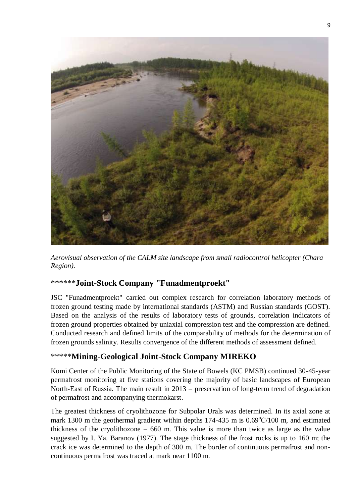

*Aerovisual observation of the CALM site landscape from small radiocontrol helicopter (Chara Region).*

### \*\*\*\*\*\***Joint-Stock Company "Funadmentproekt"**

JSC "Funadmentproekt" carried out complex research for correlation laboratory methods of frozen ground testing made by international standards (ASTM) and Russian standards (GOST). Based on the analysis of the results of laboratory tests of grounds, correlation indicators of frozen ground properties obtained by uniaxial compression test and the compression are defined. Conducted research and defined limits of the comparability of methods for the determination of frozen grounds salinity. Results convergence of the different methods of assessment defined.

### \*\*\*\*\***Mining-Geological Joint-Stock Company MIREKO**

Komi Center of the Public Monitoring of the State of Bowels (KC PMSB) continued 30-45-year permafrost monitoring at five stations covering the majority of basic landscapes of European North-East of Russia. The main result in 2013 – preservation of long-term trend of degradation of permafrost and accompanying thermokarst.

The greatest thickness of cryolithozone for Subpolar Urals was determined. In its axial zone at mark 1300 m the geothermal gradient within depths  $174-435$  m is  $0.69^{\circ}$ C/100 m, and estimated thickness of the cryolithozone  $-660$  m. This value is more than twice as large as the value suggested by I. Ya. Baranov (1977). The stage thickness of the frost rocks is up to 160 m; the crack ice was determined to the depth of 300 m. The border of continuous permafrost and noncontinuous permafrost was traced at mark near 1100 m.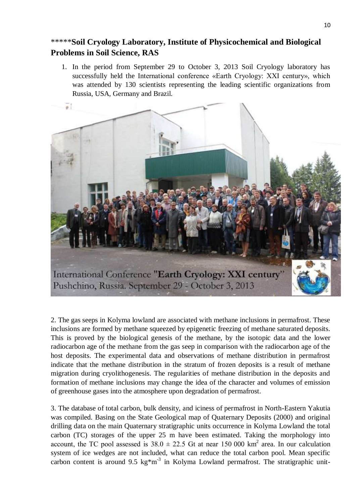# \*\*\*\*\***Soil Cryology Laboratory, Institute of Physicochemical and Biological Problems in Soil Science, RAS**

1. In the period from September 29 to October 3, 2013 Soil Cryology laboratory has successfully held the International conference «Earth Cryology: XXI century», which was attended by 130 scientists representing the leading scientific organizations from Russia, USA, Germany and Brazil.



2. The gas seeps in Kolyma lowland are associated with methane inclusions in permafrost. These inclusions are formed by methane squeezed by epigenetic freezing of methane saturated deposits. This is proved by the biological genesis of the methane, by the isotopic data and the lower radiocarbon age of the methane from the gas seep in comparison with the radiocarbon age of the host deposits. The experimental data and observations of methane distribution in permafrost indicate that the methane distribution in the stratum of frozen deposits is a result of methane migration during cryolithogenesis. The regularities of methane distribution in the deposits and formation of methane inclusions may change the idea of the character and volumes of emission of greenhouse gases into the atmosphere upon degradation of permafrost.

3. The database of total carbon, bulk density, and iciness of permafrost in North-Eastern Yakutia was compiled. Basing on the State Geological map of Quaternary Deposits (2000) and original drilling data on the main Quaternary stratigraphic units occurrence in Kolyma Lowland the total carbon (TC) storages of the upper 25 m have been estimated. Taking the morphology into account, the TC pool assessed is  $38.0 \pm 22.5$  Gt at near 150 000 km<sup>2</sup> area. In our calculation system of ice wedges are not included, what can reduce the total carbon pool. Mean specific carbon content is around 9.5 kg $*m^{-3}$  in Kolyma Lowland permafrost. The stratigraphic unit